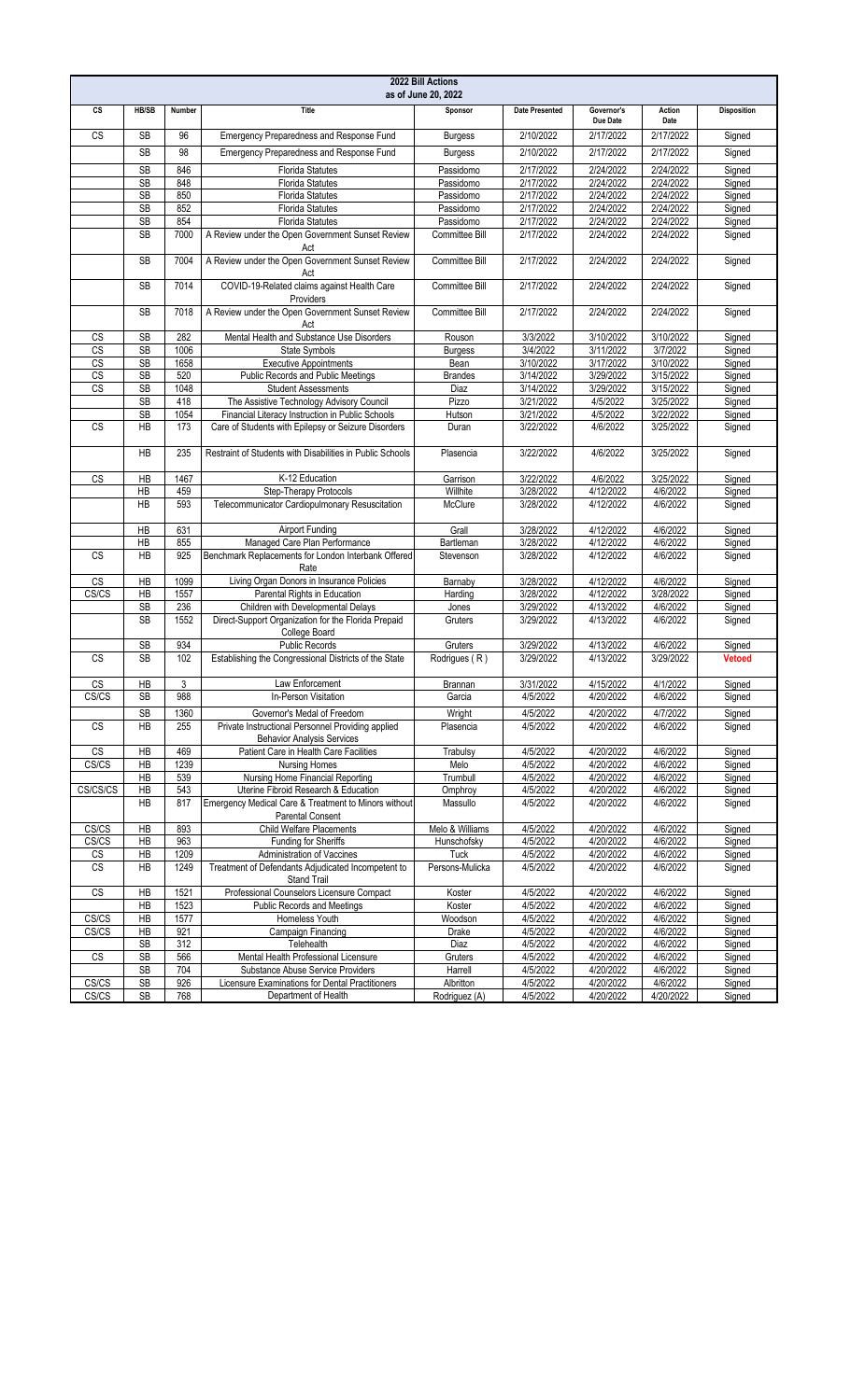| 2022 Bill Actions<br>as of June 20, 2022         |                        |              |                                                                                        |                                |                        |                        |                        |                    |  |
|--------------------------------------------------|------------------------|--------------|----------------------------------------------------------------------------------------|--------------------------------|------------------------|------------------------|------------------------|--------------------|--|
| CS                                               | HB/SB                  | Number       | Title                                                                                  | Sponsor                        | <b>Date Presented</b>  | Governor's<br>Due Date | Action<br>Date         | <b>Disposition</b> |  |
| CS                                               | <b>SB</b>              | 96           | Emergency Preparedness and Response Fund                                               | <b>Burgess</b>                 | 2/10/2022              | 2/17/2022              | 2/17/2022              | Signed             |  |
|                                                  | <b>SB</b>              | 98           | Emergency Preparedness and Response Fund                                               | <b>Burgess</b>                 | 2/10/2022              | 2/17/2022              | 2/17/2022              | Signed             |  |
|                                                  | <b>SB</b>              | 846          | <b>Florida Statutes</b>                                                                | Passidomo                      | 2/17/2022              | 2/24/2022              | 2/24/2022              | Signed             |  |
|                                                  | <b>SB</b>              | 848          | <b>Florida Statutes</b>                                                                | Passidomo                      | 2/17/2022              | 2/24/2022              | 2/24/2022              | Signed             |  |
|                                                  | SB                     | 850          | <b>Florida Statutes</b>                                                                | Passidomo                      | 2/17/2022              | 2/24/2022              | 2/24/2022              | Signed             |  |
|                                                  | <b>SB</b>              | 852          | <b>Florida Statutes</b>                                                                | Passidomo                      | 2/17/2022              | 2/24/2022              | 2/24/2022              | Signed             |  |
|                                                  | <b>SB</b>              | 854          | Florida Statutes                                                                       | Passidomo                      | 2/17/2022              | 2/24/2022              | 2/24/2022              | Signed             |  |
|                                                  | <b>SB</b>              | 7000         | A Review under the Open Government Sunset Review<br>Act                                | Committee Bill                 | 2/17/2022              | 2/24/2022              | 2/24/2022              | Signed             |  |
|                                                  | <b>SB</b>              | 7004         | A Review under the Open Government Sunset Review<br>Act                                | Committee Bill                 | 2/17/2022              | 2/24/2022              | 2/24/2022              | Signed             |  |
|                                                  | <b>SB</b>              | 7014         | COVID-19-Related claims against Health Care<br>Providers                               | Committee Bill                 | 2/17/2022              | 2/24/2022              | 2/24/2022              | Signed             |  |
|                                                  | <b>SB</b>              | 7018         | A Review under the Open Government Sunset Review<br>Act                                | <b>Committee Bill</b>          | 2/17/2022              | 2/24/2022              | 2/24/2022              | Signed             |  |
| CS                                               | <b>SB</b>              | 282          | Mental Health and Substance Use Disorders                                              | Rouson                         | 3/3/2022               | 3/10/2022              | 3/10/2022              | Signed             |  |
| CS                                               | <b>SB</b>              | 1006         | State Symbols                                                                          | <b>Burgess</b>                 | 3/4/2022               | 3/11/2022              | 3/7/2022               | Signed             |  |
| $\overline{\text{CS}}$<br>$\overline{\text{cs}}$ | <b>SB</b><br><b>SB</b> | 1658<br>520  | <b>Executive Appointments</b><br>Public Records and Public Meetings                    | Bean<br><b>Brandes</b>         | 3/10/2022<br>3/14/2022 | 3/17/2022<br>3/29/2022 | 3/10/2022<br>3/15/2022 | Signed<br>Signed   |  |
| CS                                               | SB                     | 1048         | <b>Student Assessments</b>                                                             | Diaz                           | 3/14/2022              | 3/29/2022              | 3/15/2022              | Signed             |  |
|                                                  | <b>SB</b>              | 418          | The Assistive Technology Advisory Council                                              | Pizzo                          | 3/21/2022              | 4/5/2022               | 3/25/2022              | Signed             |  |
|                                                  | SB                     | 1054         | Financial Literacy Instruction in Public Schools                                       | Hutson                         | 3/21/2022              | 4/5/2022               | 3/22/2022              | Signed             |  |
| CS                                               | HB                     | 173          | Care of Students with Epilepsy or Seizure Disorders                                    | Duran                          | 3/22/2022              | 4/6/2022               | 3/25/2022              | Signed             |  |
|                                                  | <b>HB</b>              | 235          | Restraint of Students with Disabilities in Public Schools                              | Plasencia                      | 3/22/2022              | 4/6/2022               | 3/25/2022              | Signed             |  |
| <b>CS</b>                                        | HB                     | 1467         | K-12 Education                                                                         | Garrison                       | 3/22/2022              | 4/6/2022               | 3/25/2022              | Signed             |  |
|                                                  | HB                     | 459          | Step-Therapy Protocols                                                                 | Willhite                       | 3/28/2022              | 4/12/2022              | 4/6/2022               | Signed             |  |
|                                                  | <b>HB</b>              | 593          | Telecommunicator Cardiopulmonary Resuscitation                                         | McClure                        | 3/28/2022              | 4/12/2022              | 4/6/2022               | Signed             |  |
|                                                  | <b>HB</b>              | 631          | <b>Airport Funding</b>                                                                 | Grall                          | 3/28/2022              | 4/12/2022              | 4/6/2022               | Signed             |  |
|                                                  | <b>HB</b>              | 855          | Managed Care Plan Performance                                                          | Bartleman                      | 3/28/2022              | 4/12/2022              | 4/6/2022               | Signed             |  |
| CS                                               | <b>HB</b>              | 925          | Benchmark Replacements for London Interbank Offered<br>Rate                            | Stevenson                      | 3/28/2022              | 4/12/2022              | 4/6/2022               | Signed             |  |
| CS                                               | HB                     | 1099         | Living Organ Donors in Insurance Policies                                              | Barnaby                        | 3/28/2022              | 4/12/2022              | 4/6/2022               | Signed             |  |
| CS/CS                                            | HB<br><b>SB</b>        | 1557<br>236  | Parental Rights in Education<br>Children with Developmental Delays                     | Harding                        | 3/28/2022<br>3/29/2022 | 4/12/2022<br>4/13/2022 | 3/28/2022<br>4/6/2022  | Signed<br>Signed   |  |
|                                                  | <b>SB</b>              | 1552         | Direct-Support Organization for the Florida Prepaid<br>College Board                   | Jones<br>Gruters               | 3/29/2022              | 4/13/2022              | 4/6/2022               | Signed             |  |
|                                                  | <b>SB</b>              | 934          | <b>Public Records</b>                                                                  | Gruters                        | 3/29/2022              | 4/13/2022              | 4/6/2022               | Signed             |  |
| <b>CS</b>                                        | <b>SB</b>              | 102          | Establishing the Congressional Districts of the State                                  | Rodrigues (R)                  | 3/29/2022              | 4/13/2022              | 3/29/2022              | <b>Vetoed</b>      |  |
| CS                                               | HB                     | 3            | Law Enforcement                                                                        | Brannan                        | 3/31/2022              | 4/15/2022              | 4/1/2022               | Signed             |  |
| CS/CS                                            | SB                     | 988          | In-Person Visitation                                                                   | Garcia                         | 4/5/2022               | 4/20/2022              | 4/6/2022               | Signed             |  |
|                                                  | <b>SB</b>              | 1360         | Governor's Medal of Freedom                                                            | Wright                         | 4/5/2022               | 4/20/2022              | 4/7/2022               | Signed             |  |
| <b>CS</b>                                        | <b>HB</b>              | 255          | Private Instructional Personnel Providing applied<br><b>Behavior Analysis Services</b> | Plasencia                      | 4/5/2022               | 4/20/2022              | 4/6/2022               | Signed             |  |
| $\overline{\text{cs}}$                           | HB                     | 469          | Patient Care in Health Care Facilities                                                 | Trabulsy                       | 4/5/2022               | 4/20/2022              | 4/6/2022               | Signed             |  |
| CS/CS                                            | HB                     | 1239         | <b>Nursing Homes</b>                                                                   | Melo                           | 4/5/2022               | 4/20/2022              | 4/6/2022               | Signed             |  |
|                                                  | HB                     | 539          | Nursing Home Financial Reporting                                                       | Trumbull                       | 4/5/2022               | 4/20/2022              | 4/6/2022               | Signed             |  |
| CS/CS/CS                                         | HB                     | 543          | Uterine Fibroid Research & Education                                                   | Omphroy                        | 4/5/2022               | 4/20/2022              | 4/6/2022               | Signed             |  |
|                                                  | <b>HB</b>              | 817          | Emergency Medical Care & Treatment to Minors without<br><b>Parental Consent</b>        | Massullo                       | 4/5/2022               | 4/20/2022              | 4/6/2022               | Signed             |  |
| CS/CS                                            | HB                     | 893          | <b>Child Welfare Placements</b>                                                        | Melo & Williams                | 4/5/2022               | 4/20/2022              | 4/6/2022               | Signed             |  |
| CS/CS                                            | HB                     | 963          | Funding for Sheriffs<br>Administration of Vaccines                                     | Hunschofsky                    | 4/5/2022               | 4/20/2022              | 4/6/2022               | Signed             |  |
| CS<br>$\overline{\text{CS}}$                     | HB<br>HB               | 1209<br>1249 | Treatment of Defendants Adjudicated Incompetent to                                     | <b>Tuck</b><br>Persons-Mulicka | 4/5/2022<br>4/5/2022   | 4/20/2022<br>4/20/2022 | 4/6/2022<br>4/6/2022   | Signed<br>Signed   |  |
| CS                                               | HB                     | 1521         | <b>Stand Trail</b><br>Professional Counselors Licensure Compact                        | Koster                         | 4/5/2022               | 4/20/2022              | 4/6/2022               | Signed             |  |
| CS/CS                                            | HB<br>HB               | 1523<br>1577 | Public Records and Meetings<br>Homeless Youth                                          | Koster                         | 4/5/2022<br>4/5/2022   | 4/20/2022<br>4/20/2022 | 4/6/2022<br>4/6/2022   | Signed             |  |
| CS/CS                                            | HB                     | 921          | Campaign Financing                                                                     | Woodson<br>Drake               | 4/5/2022               | 4/20/2022              | 4/6/2022               | Signed<br>Signed   |  |
|                                                  | <b>SB</b>              | 312          | Telehealth                                                                             | Diaz                           | 4/5/2022               | 4/20/2022              | 4/6/2022               | Signed             |  |
| $\overline{\text{CS}}$                           | SB                     | 566          | Mental Health Professional Licensure                                                   | Gruters                        | 4/5/2022               | 4/20/2022              | 4/6/2022               | Signed             |  |
|                                                  | SB                     | 704          | Substance Abuse Service Providers                                                      | Harrell                        | 4/5/2022               | 4/20/2022              | 4/6/2022               | Signed             |  |
| CS/CS                                            | SB                     | 926          | Licensure Examinations for Dental Practitioners                                        | Albritton                      | 4/5/2022               | 4/20/2022              | 4/6/2022               | Signed             |  |
| CS/CS                                            | $\mathsf{SB}\xspace$   | 768          | Department of Health                                                                   | Rodriguez (A)                  | 4/5/2022               | 4/20/2022              | 4/20/2022              | Signed             |  |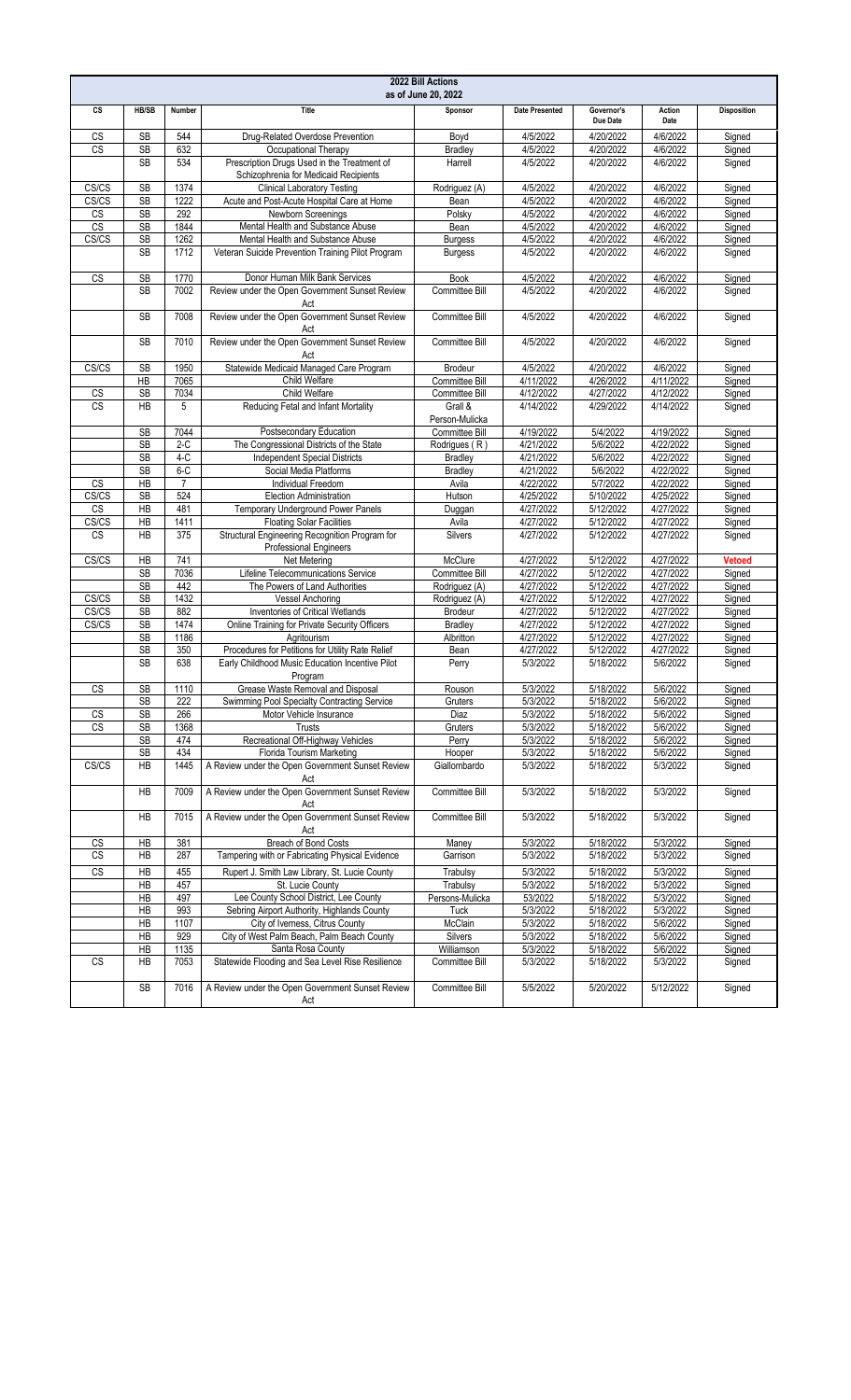| 2022 Bill Actions<br>as of June 20, 2022 |                        |                |                                                                                                     |                           |                       |                        |                       |                    |
|------------------------------------------|------------------------|----------------|-----------------------------------------------------------------------------------------------------|---------------------------|-----------------------|------------------------|-----------------------|--------------------|
| CS                                       | HB/SB                  | Number         | Title                                                                                               | Sponsor                   | <b>Date Presented</b> | Governor's<br>Due Date | Action<br>Date        | <b>Disposition</b> |
| CS                                       | <b>SB</b>              | 544            | Drug-Related Overdose Prevention                                                                    | Boyd                      | 4/5/2022              | 4/20/2022              | 4/6/2022              | Signed             |
| CS                                       | <b>SB</b>              | 632            | Occupational Therapy                                                                                | <b>Bradley</b>            | 4/5/2022              | 4/20/2022              | 4/6/2022              | Signed             |
|                                          | <b>SB</b>              | 534            | Prescription Drugs Used in the Treatment of<br>Schizophrenia for Medicaid Recipients                | Harrell                   | 4/5/2022              | 4/20/2022              | 4/6/2022              | Signed             |
| CS/CS                                    | SB                     | 1374           | <b>Clinical Laboratory Testing</b>                                                                  | Rodriguez (A)             | 4/5/2022              | 4/20/2022              | 4/6/2022              | Signed             |
| CS/CS                                    | <b>SB</b>              | 1222           | Acute and Post-Acute Hospital Care at Home                                                          | Bean                      | 4/5/2022              | 4/20/2022              | 4/6/2022              | Signed             |
| CS                                       | SB                     | 292            | Newborn Screenings                                                                                  | Polsky                    | 4/5/2022              | 4/20/2022              | 4/6/2022              | Signed             |
| $\overline{\text{CS}}$                   | <b>SB</b>              | 1844           | Mental Health and Substance Abuse                                                                   | Bean                      | 4/5/2022              | 4/20/2022              | 4/6/2022              | Signed             |
| CS/CS                                    | SB                     | 1262           | Mental Health and Substance Abuse                                                                   | <b>Burgess</b>            | 4/5/2022              | 4/20/2022              | 4/6/2022              | Signed             |
|                                          | <b>SB</b>              | 1712           | Veteran Suicide Prevention Training Pilot Program                                                   | <b>Burgess</b>            | 4/5/2022              | 4/20/2022              | 4/6/2022              | Signed             |
| CS                                       | SB                     | 1770           | Donor Human Milk Bank Services                                                                      | <b>Book</b>               | 4/5/2022              | 4/20/2022              | 4/6/2022              | Signed             |
|                                          | <b>SB</b>              | 7002           | Review under the Open Government Sunset Review<br>Act                                               | Committee Bill            | 4/5/2022              | 4/20/2022              | 4/6/2022              | Signed             |
|                                          | <b>SB</b>              | 7008           | Review under the Open Government Sunset Review<br>Act                                               | Committee Bill            | 4/5/2022              | 4/20/2022              | 4/6/2022              | Signed             |
|                                          | <b>SB</b>              | 7010           | Review under the Open Government Sunset Review<br>Act                                               | Committee Bill            | 4/5/2022              | 4/20/2022              | 4/6/2022              | Signed             |
| CS/CS                                    | SB                     | 1950           | Statewide Medicaid Managed Care Program                                                             | <b>Brodeur</b>            | 4/5/2022              | 4/20/2022              | 4/6/2022              | Signed             |
|                                          | HB                     | 7065           | Child Welfare                                                                                       | Committee Bill            | 4/11/2022             | 4/26/2022              | 4/11/2022             | Signed             |
| CS                                       | <b>SB</b>              | 7034           | Child Welfare                                                                                       | Committee Bill            | 4/12/2022             | 4/27/2022              | 4/12/2022             | Signed             |
| <b>CS</b>                                | <b>HB</b>              | 5              | Reducing Fetal and Infant Mortality                                                                 | Grall &<br>Person-Mulicka | 4/14/2022             | 4/29/2022              | 4/14/2022             | Signed             |
|                                          | SB                     | 7044           | Postsecondary Education                                                                             | Committee Bill            | 4/19/2022             | 5/4/2022               | 4/19/2022             | Signed             |
|                                          | <b>SB</b>              | $2-C$          | The Congressional Districts of the State                                                            | Rodrigues (R)             | 4/21/2022             | 5/6/2022               | 4/22/2022             | Signed             |
|                                          | <b>SB</b>              | $4-C$          | <b>Independent Special Districts</b>                                                                | <b>Bradley</b>            | 4/21/2022             | 5/6/2022               | 4/22/2022             | Signed             |
|                                          | <b>SB</b>              | $6 - C$        | Social Media Platforms                                                                              | <b>Bradley</b>            | 4/21/2022             | 5/6/2022               | 4/22/2022             | Signed             |
| <b>CS</b>                                | HB                     | $\overline{7}$ | Individual Freedom                                                                                  | Avila                     | 4/22/2022             | 5/7/2022               | 4/22/2022             | Signed             |
| CS/CS                                    | SB                     | 524            | <b>Election Administration</b>                                                                      | Hutson                    | 4/25/2022             | 5/10/2022              | 4/25/2022             | Signed             |
| <b>CS</b>                                | HB                     | 481            | Temporary Underground Power Panels                                                                  | Duggan                    | 4/27/2022             | 5/12/2022              | 4/27/2022             | Signed             |
| CS/CS                                    | HB                     | 1411           | <b>Floating Solar Facilities</b>                                                                    | Avila                     | 4/27/2022             | 5/12/2022              | 4/27/2022             | Signed             |
| <b>CS</b>                                | <b>HB</b>              | 375            | Structural Engineering Recognition Program for<br><b>Professional Engineers</b>                     | Silvers                   | 4/27/2022             | 5/12/2022              | 4/27/2022             | Signed             |
| CS/CS                                    | HB                     | 741            | Net Metering                                                                                        | McClure                   | 4/27/2022             | 5/12/2022              | 4/27/2022             | <b>Vetoed</b>      |
|                                          | <b>SB</b>              | 7036           | Lifeline Telecommunications Service                                                                 | Committee Bill            | 4/27/2022             | 5/12/2022              | 4/27/2022             | Signed             |
|                                          | <b>SB</b>              | 442            | The Powers of Land Authorities                                                                      | Rodriguez (A)             | 4/27/2022             | 5/12/2022              | 4/27/2022             | Signed             |
| CS/CS                                    | SB                     | 1432           | <b>Vessel Anchoring</b>                                                                             | Rodriguez (A)             | 4/27/2022             | 5/12/2022              | 4/27/2022             | Signed             |
| CS/CS                                    | SB                     | 882            | Inventories of Critical Wetlands                                                                    | Brodeur                   | 4/27/2022             | 5/12/2022              | 4/27/2022             | Signed             |
| CS/CS                                    | <b>SB</b>              | 1474           | Online Training for Private Security Officers                                                       | <b>Bradley</b>            | 4/27/2022             | 5/12/2022              | 4/27/2022             | Signed             |
|                                          | SB                     | 1186           | Agritourism                                                                                         | Albritton                 | 4/27/2022             | 5/12/2022              | 4/27/2022             | Signed             |
|                                          | <b>SB</b><br><b>SB</b> | 350<br>638     | Procedures for Petitions for Utility Rate Relief<br>Early Childhood Music Education Incentive Pilot | Bean<br>Perry             | 4/27/2022<br>5/3/2022 | 5/12/2022<br>5/18/2022 | 4/27/2022<br>5/6/2022 | Signed<br>Signed   |
|                                          |                        |                | Program                                                                                             |                           |                       |                        |                       |                    |
| СS                                       | <b>SB</b><br>SB        | 1110<br>222    | Grease Waste Removal and Disposal<br>Swimming Pool Specialty Contracting Service                    | Rouson                    | 5/3/2022<br>5/3/2022  | 5/18/2022<br>5/18/2022 | 5/6/2022<br>5/6/2022  | Signed             |
| CS                                       | SB                     | 266            | Motor Vehicle Insurance                                                                             | Gruters<br>Diaz           | 5/3/2022              | 5/18/2022              | 5/6/2022              | Signed<br>Signed   |
| <b>CS</b>                                | <b>SB</b>              | 1368           | Trusts                                                                                              | Gruters                   | 5/3/2022              | 5/18/2022              | 5/6/2022              | Signed             |
|                                          | SB                     | 474            | Recreational Off-Highway Vehicles                                                                   | Perry                     | 5/3/2022              | 5/18/2022              | 5/6/2022              | Signed             |
|                                          | <b>SB</b>              | 434            | Florida Tourism Marketing                                                                           | Hooper                    | 5/3/2022              | 5/18/2022              | 5/6/2022              | Signed             |
| CS/CS                                    | HB                     | 1445           | A Review under the Open Government Sunset Review<br>Act                                             | Giallombardo              | 5/3/2022              | 5/18/2022              | 5/3/2022              | Signed             |
|                                          | HB                     | 7009           | A Review under the Open Government Sunset Review<br>Act                                             | Committee Bill            | 5/3/2022              | 5/18/2022              | 5/3/2022              | Signed             |
|                                          | HB                     | 7015           | A Review under the Open Government Sunset Review<br>Act                                             | Committee Bill            | 5/3/2022              | 5/18/2022              | 5/3/2022              | Signed             |
| $\overline{\text{CS}}$                   | HB                     | 381            | Breach of Bond Costs                                                                                | Maney                     | 5/3/2022              | 5/18/2022              | 5/3/2022              | Signed             |
| CS                                       | HB                     | 287            | Tampering with or Fabricating Physical Evidence                                                     | Garrison                  | 5/3/2022              | 5/18/2022              | 5/3/2022              | Signed             |
| CS                                       | HB                     | 455            | Rupert J. Smith Law Library, St. Lucie County                                                       | Trabulsy                  | 5/3/2022              | 5/18/2022              | 5/3/2022              | Signed             |
|                                          | HB                     | 457            | St. Lucie County                                                                                    | Trabulsy                  | 5/3/2022              | 5/18/2022              | 5/3/2022              | Signed             |
|                                          | HB                     | 497            | Lee County School District, Lee County                                                              | Persons-Mulicka           | 53/2022               | 5/18/2022              | 5/3/2022              | Signed             |
|                                          | HB                     | 993            | Sebring Airport Authority, Highlands County                                                         | Tuck                      | 5/3/2022              | 5/18/2022              | 5/3/2022              | Signed             |
|                                          | HB                     | 1107           | City of Iverness, Citrus County                                                                     | McClain                   | 5/3/2022              | 5/18/2022              | 5/6/2022              | Signed             |
|                                          | HB                     | 929            | City of West Palm Beach, Palm Beach County                                                          | Silvers                   | 5/3/2022              | 5/18/2022              | 5/6/2022              | Signed             |
|                                          | HB                     | 1135           | Santa Rosa County                                                                                   | Williamson                | 5/3/2022              | 5/18/2022              | 5/6/2022              | Signed             |
| CS                                       | HB                     | 7053           | Statewide Flooding and Sea Level Rise Resilience                                                    | Committee Bill            | 5/3/2022              | 5/18/2022              | 5/3/2022              | Signed             |
|                                          | <b>SB</b>              | 7016           | A Review under the Open Government Sunset Review<br>Act                                             | Committee Bill            | 5/5/2022              | 5/20/2022              | 5/12/2022             | Signed             |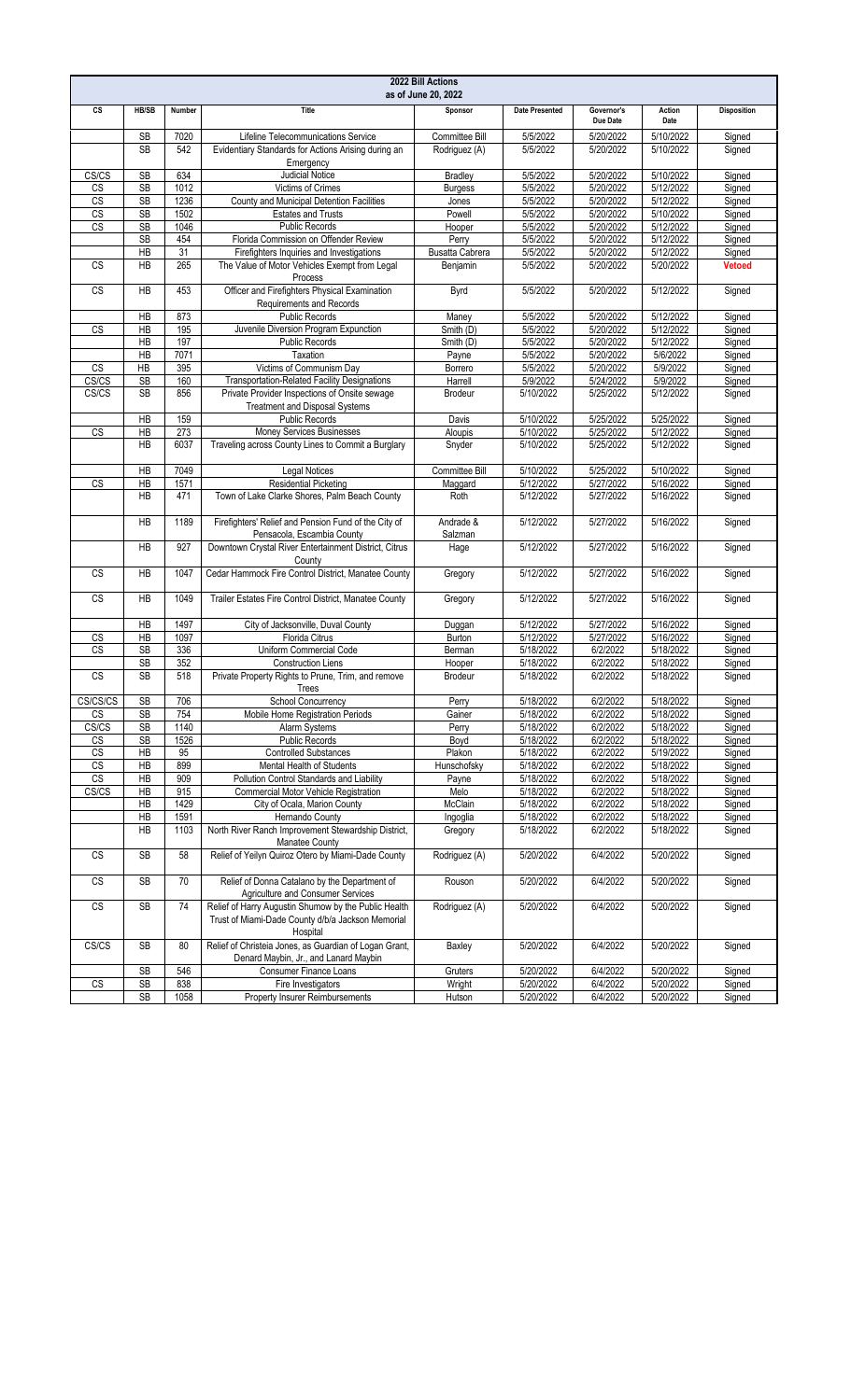|                        |                              |            |                                                                                            | 2022 Bill Actions<br>as of June 20, 2022 |                        |                        |                        |                         |
|------------------------|------------------------------|------------|--------------------------------------------------------------------------------------------|------------------------------------------|------------------------|------------------------|------------------------|-------------------------|
| CS                     | HB/SB                        | Number     | Title                                                                                      | Sponsor                                  | <b>Date Presented</b>  | Governor's<br>Due Date | Action<br>Date         | <b>Disposition</b>      |
|                        | <b>SB</b>                    | 7020       | Lifeline Telecommunications Service                                                        | Committee Bill                           | 5/5/2022               | 5/20/2022              | 5/10/2022              | Signed                  |
|                        | <b>SB</b>                    | 542        | Evidentiary Standards for Actions Arising during an<br>Emergency                           | Rodriguez (A)                            | 5/5/2022               | 5/20/2022              | 5/10/2022              | Signed                  |
| CS/CS                  | <b>SB</b>                    | 634        | <b>Judicial Notice</b>                                                                     | <b>Bradley</b>                           | 5/5/2022               | 5/20/2022              | 5/10/2022              | Signed                  |
| <b>CS</b>              | <b>SB</b>                    | 1012       | Victims of Crimes                                                                          | <b>Burgess</b>                           | 5/5/2022               | 5/20/2022              | 5/12/2022              | Signed                  |
| <b>CS</b>              | <b>SB</b>                    | 1236       | County and Municipal Detention Facilities                                                  | Jones                                    | 5/5/2022               | 5/20/2022              | 5/12/2022              | Signed                  |
| CS                     | <b>SB</b>                    | 1502       | <b>Estates and Trusts</b>                                                                  | Powell                                   | 5/5/2022               | 5/20/2022              | 5/10/2022              | Signed                  |
| $\overline{\text{CS}}$ | <b>SB</b>                    | 1046       | <b>Public Records</b>                                                                      | Hooper                                   | 5/5/2022               | 5/20/2022              | 5/12/2022              | Signed                  |
|                        |                              | 454        | Florida Commission on Offender Review                                                      |                                          |                        | 5/20/2022              |                        |                         |
|                        | <b>SB</b>                    |            |                                                                                            | Perry                                    | 5/5/2022               |                        | 5/12/2022              | Signed                  |
| <b>CS</b>              | $\overline{AB}$<br><b>HB</b> | 31<br>265  | Firefighters Inquiries and Investigations<br>The Value of Motor Vehicles Exempt from Legal | <b>Busatta Cabrera</b><br>Benjamin       | 5/5/2022<br>5/5/2022   | 5/20/2022<br>5/20/2022 | 5/12/2022<br>5/20/2022 | Signed<br><b>Vetoed</b> |
| <b>CS</b>              | HB                           | 453        | Process<br>Officer and Firefighters Physical Examination                                   | Byrd                                     | 5/5/2022               | 5/20/2022              | 5/12/2022              | Signed                  |
|                        |                              |            | Requirements and Records                                                                   |                                          |                        |                        |                        |                         |
|                        | HB                           | 873        | <b>Public Records</b>                                                                      | Maney                                    | 5/5/2022               | 5/20/2022              | 5/12/2022              | Signed                  |
| <b>CS</b>              | HB                           | 195        | Juvenile Diversion Program Expunction                                                      | Smith (D)                                | 5/5/2022               | 5/20/2022              | 5/12/2022              | Signed                  |
|                        | HB                           | 197        | <b>Public Records</b>                                                                      | Smith (D)                                | 5/5/2022               | 5/20/2022              | 5/12/2022              | Signed                  |
|                        | HB                           | 7071       | Taxation                                                                                   | Payne                                    | 5/5/2022               | 5/20/2022              | 5/6/2022               | Signed                  |
| <b>CS</b>              | HB                           | 395        | Victims of Communism Day                                                                   | Borrero                                  | 5/5/2022               | 5/20/2022              | 5/9/2022               | Signed                  |
| CS/CS                  | SB                           | 160        | Transportation-Related Facility Designations                                               | Harrell                                  | 5/9/2022               | 5/24/2022              | 5/9/2022               | Signed                  |
| CS/CS                  | <b>SB</b>                    | 856        | Private Provider Inspections of Onsite sewage<br><b>Treatment and Disposal Systems</b>     | <b>Brodeur</b>                           | 5/10/2022              | 5/25/2022              | 5/12/2022              | Signed                  |
|                        | HB                           | 159        | <b>Public Records</b>                                                                      | Davis                                    | 5/10/2022              | 5/25/2022              | 5/25/2022              | Signed                  |
| CS                     | <b>HB</b>                    | 273        | Money Services Businesses                                                                  | Aloupis                                  | 5/10/2022              | 5/25/2022              | 5/12/2022              | Signed                  |
|                        | <b>HB</b>                    | 6037       | Traveling across County Lines to Commit a Burglary                                         | Snyder                                   | 5/10/2022              | 5/25/2022              | 5/12/2022              | Signed                  |
|                        | HB                           | 7049       | <b>Legal Notices</b>                                                                       | Committee Bill                           | 5/10/2022              | 5/25/2022              | 5/10/2022              | Signed                  |
|                        |                              |            |                                                                                            |                                          |                        |                        |                        |                         |
| <b>CS</b>              | HB                           | 1571       | <b>Residential Picketing</b>                                                               | Maggard                                  | 5/12/2022              | 5/27/2022              | 5/16/2022              | Signed                  |
|                        | HB                           | 471        | Town of Lake Clarke Shores, Palm Beach County                                              | Roth                                     | 5/12/2022              | 5/27/2022              | 5/16/2022              | Signed                  |
|                        | <b>HB</b>                    | 1189       | Firefighters' Relief and Pension Fund of the City of<br>Pensacola, Escambia County         | Andrade &<br>Salzman                     | 5/12/2022              | 5/27/2022              | 5/16/2022              | Signed                  |
|                        | HB                           | 927        | Downtown Crystal River Entertainment District, Citrus<br>County                            | Hage                                     | 5/12/2022              | 5/27/2022              | 5/16/2022              | Signed                  |
| CS                     | HB                           | 1047       | Cedar Hammock Fire Control District, Manatee County                                        | Gregory                                  | 5/12/2022              | 5/27/2022              | 5/16/2022              | Signed                  |
| <b>CS</b>              | <b>HB</b>                    | 1049       | Trailer Estates Fire Control District, Manatee County                                      | Gregory                                  | 5/12/2022              | 5/27/2022              | 5/16/2022              | Signed                  |
|                        | HB                           | 1497       | City of Jacksonville, Duval County                                                         | Duggan                                   | 5/12/2022              | 5/27/2022              | 5/16/2022              | Signed                  |
| CS                     | HB                           | 1097       | Florida Citrus                                                                             | Burton                                   | 5/12/2022              | 5/27/2022              | 5/16/2022              | Signed                  |
| CS                     | SB                           | 336        | Uniform Commercial Code                                                                    | Berman                                   | 5/18/2022              | 6/2/2022               | 5/18/2022              | Signed                  |
|                        | SB                           | 352        | <b>Construction Liens</b>                                                                  | Hooper                                   | 5/18/2022              | 6/2/2022               | 5/18/2022              | Signed                  |
| <b>CS</b>              | <b>SB</b>                    | 518        | Private Property Rights to Prune, Trim, and remove<br>Trees                                | <b>Brodeur</b>                           | 5/18/2022              | 6/2/2022               | 5/18/2022              | Signed                  |
| CS/CS/CS               | <b>SB</b>                    | 706        | <b>School Concurrency</b>                                                                  |                                          | 5/18/2022              | 6/2/2022               | 5/18/2022              |                         |
|                        |                              |            |                                                                                            | Perry                                    |                        |                        |                        | Signed                  |
| CS                     | <b>SB</b>                    | 754        | Mobile Home Registration Periods                                                           | Gainer                                   | 5/18/2022              | 6/2/2022               | 5/18/2022              | Signed                  |
| CS/CS                  | SB                           | 1140       | Alarm Systems                                                                              | Perry                                    | 5/18/2022              | 6/2/2022               | 5/18/2022              | Signed                  |
| $\mathsf{CS}$          | SB                           | 1526       | <b>Public Records</b>                                                                      | Boyd                                     | 5/18/2022              | 6/2/2022               | 5/18/2022              | Signed                  |
| CS                     | HB                           | 95         | <b>Controlled Substances</b>                                                               | Plakon                                   | 5/18/2022              | 6/2/2022               | 5/19/2022              | Signed                  |
| $\overline{\text{CS}}$ | HB                           | 899        | Mental Health of Students                                                                  | Hunschofsky                              | 5/18/2022              | 6/2/2022               | 5/18/2022              | Signed                  |
| $\overline{\text{CS}}$ | HB                           | 909        | Pollution Control Standards and Liability                                                  | Payne                                    | 5/18/2022              | 6/2/2022               | 5/18/2022              | Signed                  |
| CS/CS                  | HB                           | 915        | Commercial Motor Vehicle Registration                                                      | Melo                                     | 5/18/2022              | 6/2/2022               | 5/18/2022              | Signed                  |
|                        | HB                           | 1429       | City of Ocala, Marion County                                                               | McClain                                  | 5/18/2022              | 6/2/2022               | 5/18/2022              | Signed                  |
|                        | ${\sf HB}$                   | 1591       | Hernando County                                                                            | Ingoglia                                 | 5/18/2022              | 6/2/2022               | 5/18/2022              | Signed                  |
|                        | HB                           | 1103       | North River Ranch Improvement Stewardship District,                                        | Gregory                                  | 5/18/2022              | 6/2/2022               | 5/18/2022              | Signed                  |
| $\mathbb{C}\mathbb{S}$ | SB                           | 58         | Manatee County<br>Relief of Yeilyn Quiroz Otero by Miami-Dade County                       | Rodriguez (A)                            | 5/20/2022              | 6/4/2022               | 5/20/2022              | Signed                  |
|                        | SB                           | 70         | Relief of Donna Catalano by the Department of                                              | Rouson                                   | 5/20/2022              | 6/4/2022               | 5/20/2022              | Signed                  |
| CS                     |                              |            | Agriculture and Consumer Services<br>Relief of Harry Augustin Shumow by the Public Health  | Rodriguez (A)                            | 5/20/2022              | 6/4/2022               | 5/20/2022              | Signed                  |
| $\mathbb{C}\mathbb{S}$ | SB                           | 74         | Trust of Miami-Dade County d/b/a Jackson Memorial                                          |                                          |                        |                        |                        |                         |
| CS/CS                  | <b>SB</b>                    | 80         | Hospital<br>Relief of Christeia Jones, as Guardian of Logan Grant,                         | Baxley                                   | 5/20/2022              | 6/4/2022               | 5/20/2022              | Signed                  |
|                        |                              |            | Denard Maybin, Jr., and Lanard Maybin                                                      |                                          |                        |                        |                        |                         |
| $\mathbb{C}\mathbb{S}$ | <b>SB</b><br>SB              | 546<br>838 | <b>Consumer Finance Loans</b><br>Fire Investigators                                        | Gruters<br>Wright                        | 5/20/2022<br>5/20/2022 | 6/4/2022<br>6/4/2022   | 5/20/2022<br>5/20/2022 | Signed<br>Signed        |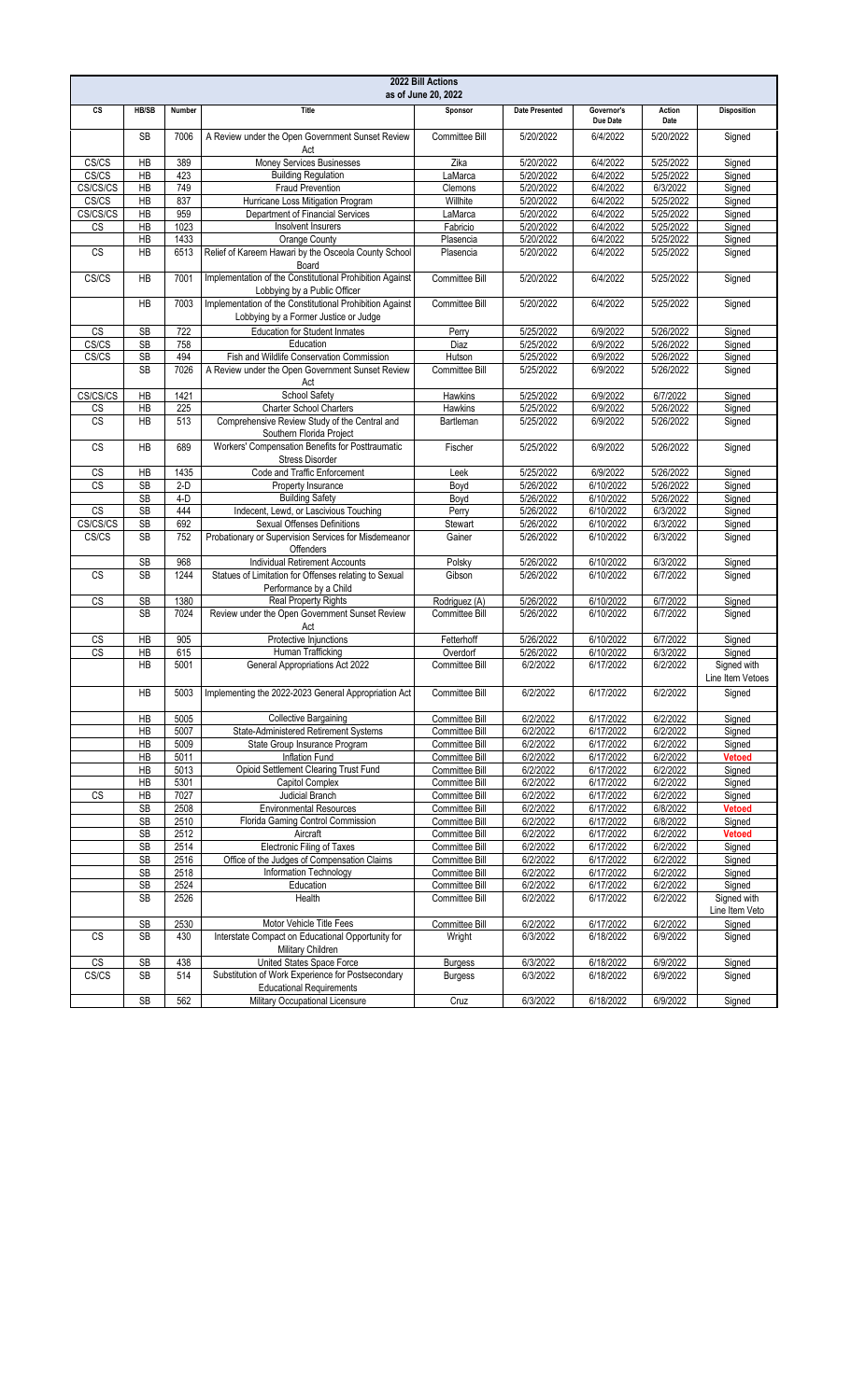| 2022 Bill Actions<br>as of June 20, 2022 |                |              |                                                                                                   |                                  |                        |                        |                        |                                 |
|------------------------------------------|----------------|--------------|---------------------------------------------------------------------------------------------------|----------------------------------|------------------------|------------------------|------------------------|---------------------------------|
| CS                                       | HB/SB          | Number       | Title                                                                                             | Sponsor                          | <b>Date Presented</b>  | Governor's<br>Due Date | Action<br>Date         | <b>Disposition</b>              |
|                                          | <b>SB</b>      | 7006         | A Review under the Open Government Sunset Review<br>Act                                           | <b>Committee Bill</b>            | 5/20/2022              | 6/4/2022               | 5/20/2022              | Signed                          |
| CS/CS                                    | HB             | 389          | Money Services Businesses                                                                         | Zika                             | 5/20/2022              | 6/4/2022               | 5/25/2022              | Signed                          |
| CS/CS                                    | HB             | 423          | <b>Building Regulation</b>                                                                        | LaMarca                          | 5/20/2022              | 6/4/2022               | 5/25/2022              | Signed                          |
| CS/CS/CS                                 | HB             | 749          | <b>Fraud Prevention</b>                                                                           | Clemons                          | 5/20/2022              | 6/4/2022               | 6/3/2022               | Signed                          |
| CS/CS                                    | HB             | 837          | Hurricane Loss Mitigation Program                                                                 | Willhite                         | 5/20/2022              | 6/4/2022               | 5/25/2022              | Signed                          |
| CS/CS/CS                                 | HB             | 959          | Department of Financial Services                                                                  | LaMarca                          | 5/20/2022              | 6/4/2022               | 5/25/2022              | Signed                          |
| CS                                       | HB             | 1023         | Insolvent Insurers                                                                                | Fabricio                         | 5/20/2022              | 6/4/2022               | 5/25/2022              | Signed                          |
| <b>CS</b>                                | HB<br>HB       | 1433<br>6513 | Orange County<br>Relief of Kareem Hawari by the Osceola County School<br>Board                    | Plasencia<br>Plasencia           | 5/20/2022<br>5/20/2022 | 6/4/2022<br>6/4/2022   | 5/25/2022<br>5/25/2022 | Signed<br>Signed                |
| CS/CS                                    | <b>HB</b>      | 7001         | Implementation of the Constitutional Prohibition Against<br>Lobbying by a Public Officer          | Committee Bill                   | 5/20/2022              | 6/4/2022               | 5/25/2022              | Signed                          |
|                                          | HB             | 7003         | Implementation of the Constitutional Prohibition Against<br>Lobbying by a Former Justice or Judge | Committee Bill                   | 5/20/2022              | 6/4/2022               | 5/25/2022              | Signed                          |
| CS                                       | SB             | 722          | <b>Education for Student Inmates</b>                                                              | Perry                            | 5/25/2022              | 6/9/2022               | 5/26/2022              | Signed                          |
| CS/CS                                    | SB             | 758          | Education                                                                                         | Diaz                             | 5/25/2022              | 6/9/2022               | 5/26/2022              | Signed                          |
| CS/CS                                    | <b>SB</b>      | 494          | Fish and Wildlife Conservation Commission                                                         | Hutson                           | 5/25/2022              | 6/9/2022               | 5/26/2022              | Signed                          |
|                                          | <b>SB</b>      | 7026         | A Review under the Open Government Sunset Review<br>Act                                           | Committee Bill                   | 5/25/2022              | 6/9/2022               | 5/26/2022              | Signed                          |
| CS/CS/CS                                 | HB             | 1421         | School Safety                                                                                     | Hawkins                          | 5/25/2022              | 6/9/2022               | 6/7/2022               | Signed                          |
| $\overline{\text{CS}}$                   | HB             | 225          | <b>Charter School Charters</b>                                                                    | Hawkins                          | 5/25/2022              | 6/9/2022               | 5/26/2022              | Signed                          |
| $\overline{\text{CS}}$                   | HB             | 513          | Comprehensive Review Study of the Central and<br>Southern Florida Project                         | Bartleman                        | 5/25/2022              | 6/9/2022               | 5/26/2022              | Signed                          |
| <b>CS</b>                                | <b>HB</b>      | 689          | Workers' Compensation Benefits for Posttraumatic<br><b>Stress Disorder</b>                        | Fischer                          | 5/25/2022              | 6/9/2022               | 5/26/2022              | Signed                          |
| $\overline{\text{CS}}$                   | HB             | 1435         | Code and Traffic Enforcement                                                                      | Leek                             | 5/25/2022              | 6/9/2022               | 5/26/2022              | Signed                          |
| <b>CS</b>                                | <b>SB</b>      | $2-D$        | Property Insurance                                                                                | Boyd                             | 5/26/2022              | 6/10/2022              | 5/26/2022              | Signed                          |
|                                          | <b>SB</b>      | $4-D$        | <b>Building Safety</b>                                                                            | Boyd                             | 5/26/2022              | 6/10/2022              | 5/26/2022              | Signed                          |
| CS                                       | <b>SB</b>      | 444          | Indecent, Lewd, or Lascivious Touching                                                            | Perry                            | 5/26/2022              | 6/10/2022              | 6/3/2022               | Signed                          |
| CS/CS/CS                                 | SB             | 692          | <b>Sexual Offenses Definitions</b>                                                                | Stewart                          | 5/26/2022              | 6/10/2022              | 6/3/2022               | Signed                          |
| CS/CS                                    | <b>SB</b>      | 752          | Probationary or Supervision Services for Misdemeanor<br>Offenders                                 | Gainer                           | 5/26/2022              | 6/10/2022              | 6/3/2022               | Signed                          |
|                                          | <b>SB</b>      | 968          | Individual Retirement Accounts                                                                    | Polsky                           | 5/26/2022              | 6/10/2022              | 6/3/2022               | Signed                          |
| <b>CS</b>                                | <b>SB</b>      | 1244         | Statues of Limitation for Offenses relating to Sexual<br>Performance by a Child                   | Gibson                           | 5/26/2022              | 6/10/2022              | 6/7/2022               | Signed                          |
| CS                                       | <b>SB</b>      | 1380         | <b>Real Property Rights</b>                                                                       | Rodriguez (A)                    | 5/26/2022              | 6/10/2022              | 6/7/2022               | Signed                          |
|                                          | <b>SB</b>      | 7024         | Review under the Open Government Sunset Review<br>Act                                             | Committee Bill                   | 5/26/2022              | 6/10/2022              | 6/7/2022               | Signed                          |
| $\csc$                                   | HB             | 905          | Protective Injunctions                                                                            | Fetterhoff                       | 5/26/2022              | 6/10/2022              | 6/7/2022               | Signed                          |
| $\overline{\text{CS}}$                   | H <sub>B</sub> | 615          | Human Trafficking                                                                                 | Overdorf                         | 5/26/2022              | 6/10/2022              | 6/3/2022               | Signed                          |
|                                          | HB             | 5001         | General Appropriations Act 2022                                                                   | Committee Bill                   | 6/2/2022               | 6/17/2022              | 6/2/2022               | Signed with<br>Line Item Vetoes |
|                                          | HB             |              | 5003 Implementing the 2022-2023 General Appropriation Act                                         | Committee Bill                   | 6/2/2022               | 6/17/2022              | 6/2/2022               | Signed                          |
|                                          | HB             | 5005         | <b>Collective Bargaining</b>                                                                      | Committee Bill                   | 6/2/2022               | 6/17/2022              | 6/2/2022               | Signed                          |
|                                          | HB<br>HB       | 5007<br>5009 | State-Administered Retirement Systems<br>State Group Insurance Program                            | Committee Bill<br>Committee Bill | 6/2/2022               | 6/17/2022              | 6/2/2022               | Signed<br>Signed                |
|                                          | HB             | 5011         | Inflation Fund                                                                                    | Committee Bill                   | 6/2/2022<br>6/2/2022   | 6/17/2022<br>6/17/2022 | 6/2/2022<br>6/2/2022   | <b>Vetoed</b>                   |
|                                          | HB             | 5013         | Opioid Settlement Clearing Trust Fund                                                             | Committee Bill                   | 6/2/2022               | 6/17/2022              | 6/2/2022               | Signed                          |
|                                          | HB             | 5301         | Capitol Complex                                                                                   | Committee Bill                   | 6/2/2022               | 6/17/2022              | 6/2/2022               | Signed                          |
| CS                                       | HB             | 7027         | Judicial Branch                                                                                   | Committee Bill                   | 6/2/2022               | 6/17/2022              | 6/2/2022               | Signed                          |
|                                          | <b>SB</b>      | 2508         | <b>Environmental Resources</b>                                                                    | Committee Bill                   | 6/2/2022               | 6/17/2022              | 6/8/2022               | <b>Vetoed</b>                   |
|                                          | SB             | 2510         | Florida Gaming Control Commission                                                                 | Committee Bill                   | 6/2/2022               | 6/17/2022              | 6/8/2022               | Signed                          |
|                                          | SB             | 2512         | Aircraft                                                                                          | Committee Bill                   | 6/2/2022               | 6/17/2022              | 6/2/2022               | <b>Vetoed</b>                   |
|                                          | SB             | 2514         | Electronic Filing of Taxes                                                                        | Committee Bill                   | 6/2/2022               | 6/17/2022              | 6/2/2022               | Signed                          |
|                                          | SB             | 2516         | Office of the Judges of Compensation Claims                                                       | Committee Bill                   | 6/2/2022               | 6/17/2022              | 6/2/2022               | Signed                          |
|                                          | SB             | 2518         | Information Technology                                                                            | Committee Bill                   | 6/2/2022               | 6/17/2022              | 6/2/2022               | Signed                          |
|                                          | SB             | 2524         | Education                                                                                         | Committee Bill                   | 6/2/2022               | 6/17/2022              | 6/2/2022               | Signed                          |
|                                          | <b>SB</b>      | 2526         | Health                                                                                            | Committee Bill                   | 6/2/2022               | 6/17/2022              | 6/2/2022               | Signed with<br>Line Item Veto   |
|                                          | SB             | 2530         | Motor Vehicle Title Fees                                                                          | Committee Bill                   | 6/2/2022               | 6/17/2022              | 6/2/2022               | Signed                          |
| <b>CS</b>                                | <b>SB</b>      | 430          | Interstate Compact on Educational Opportunity for<br>Military Children                            | Wright                           | 6/3/2022               | 6/18/2022              | 6/9/2022               | Signed                          |
| $\overline{\text{CS}}$                   | SB             | 438          | United States Space Force                                                                         | <b>Burgess</b>                   | 6/3/2022               | 6/18/2022              | 6/9/2022               | Signed                          |
| CS/CS                                    | SB             | 514          | Substitution of Work Experience for Postsecondary<br><b>Educational Requirements</b>              | <b>Burgess</b>                   | 6/3/2022               | 6/18/2022              | 6/9/2022               | Signed                          |
|                                          | SB             | 562          | Military Occupational Licensure                                                                   | Cruz                             | 6/3/2022               | 6/18/2022              | 6/9/2022               | Signed                          |